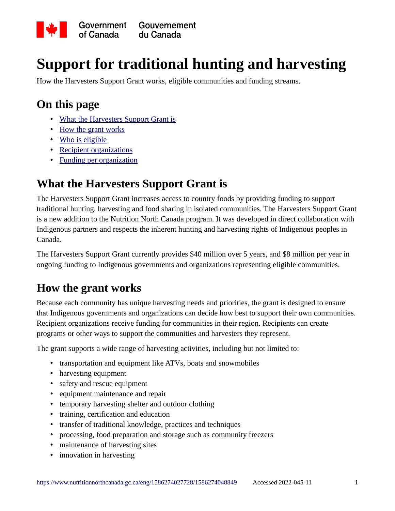

# **Support for traditional hunting and harvesting**

How the Harvesters Support Grant works, eligible communities and funding streams.

### **On this page**

- • [What the Harvesters Support Grant is](https://www.nutritionnorthcanada.gc.ca/eng/1586274027728/1586274048849#a)
- • [How the grant works](https://www.nutritionnorthcanada.gc.ca/eng/1586274027728/1586274048849#b)
- • [Who is eligible](https://www.nutritionnorthcanada.gc.ca/eng/1586274027728/1586274048849#c)
- • [Recipient organizations](https://www.nutritionnorthcanada.gc.ca/eng/1586274027728/1586274048849#d)
- • [Funding per organization](https://www.nutritionnorthcanada.gc.ca/eng/1586274027728/1586274048849#e)

### **What the Harvesters Support Grant is**

The Harvesters Support Grant increases access to country foods by providing funding to support traditional hunting, harvesting and food sharing in isolated communities. The Harvesters Support Grant is a new addition to the Nutrition North Canada program. It was developed in direct collaboration with Indigenous partners and respects the inherent hunting and harvesting rights of Indigenous peoples in Canada.

The Harvesters Support Grant currently provides \$40 million over 5 years, and \$8 million per year in ongoing funding to Indigenous governments and organizations representing eligible communities.

### **How the grant works**

Because each community has unique harvesting needs and priorities, the grant is designed to ensure that Indigenous governments and organizations can decide how best to support their own communities. Recipient organizations receive funding for communities in their region. Recipients can create programs or other ways to support the communities and harvesters they represent.

The grant supports a wide range of harvesting activities, including but not limited to:

- transportation and equipment like ATVs, boats and snowmobiles
- harvesting equipment
- safety and rescue equipment
- equipment maintenance and repair
- temporary harvesting shelter and outdoor clothing
- training, certification and education
- transfer of traditional knowledge, practices and techniques
- processing, food preparation and storage such as community freezers
- maintenance of harvesting sites
- innovation in harvesting